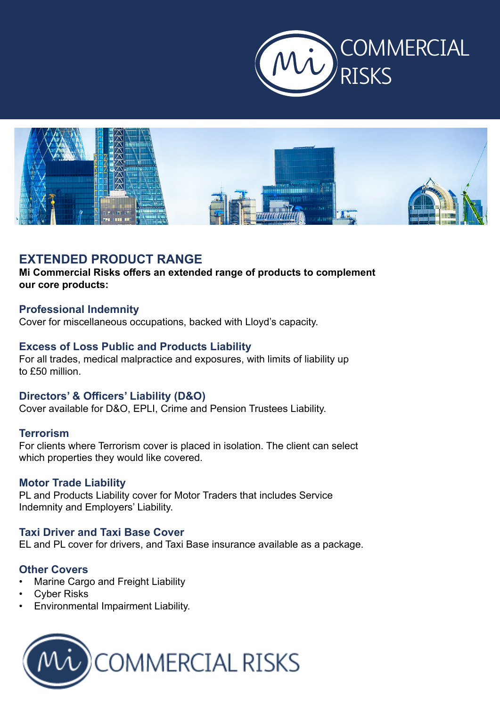



# **EXTENDED PRODUCT RANGE**

**Mi Commercial Risks offers an extended range of products to complement our core products:**

## **Professional Indemnity**

Cover for miscellaneous occupations, backed with Lloyd's capacity.

## **Excess of Loss Public and Products Liability**

For all trades, medical malpractice and exposures, with limits of liability up to £50 million.

#### **Directors' & Officers' Liability (D&O)**

Cover available for D&O, EPLI, Crime and Pension Trustees Liability.

## **Terrorism**

For clients where Terrorism cover is placed in isolation. The client can select which properties they would like covered.

#### **Motor Trade Liability**

PL and Products Liability cover for Motor Traders that includes Service Indemnity and Employers' Liability.

#### **Taxi Driver and Taxi Base Cover**

EL and PL cover for drivers, and Taxi Base insurance available as a package.

#### **Other Covers**

- Marine Cargo and Freight Liability
- **Cyber Risks**
- Environmental Impairment Liability.